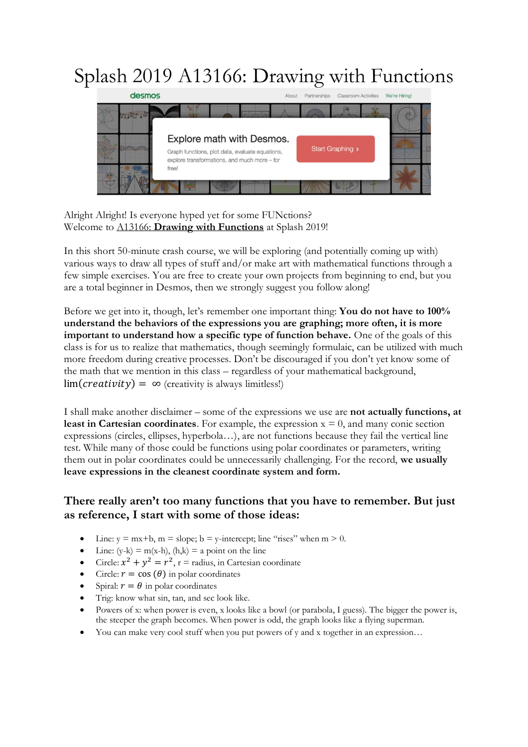## Splash 2019 A13166: Drawing with Functions



Alright Alright! Is everyone hyped yet for some FUNctions? Welcome to A13166: **Drawing with Functions** at Splash 2019!

In this short 50-minute crash course, we will be exploring (and potentially coming up with) various ways to draw all types of stuff and/or make art with mathematical functions through a few simple exercises. You are free to create your own projects from beginning to end, but you are a total beginner in Desmos, then we strongly suggest you follow along!

Before we get into it, though, let's remember one important thing: **You do not have to 100% understand the behaviors of the expressions you are graphing; more often, it is more important to understand how a specific type of function behave.** One of the goals of this class is for us to realize that mathematics, though seemingly formulaic, can be utilized with much more freedom during creative processes. Don't be discouraged if you don't yet know some of the math that we mention in this class – regardless of your mathematical background,  $\lim(\text{c} \text{reativity}) = \infty$  (creativity is always limitless!)

I shall make another disclaimer – some of the expressions we use are **not actually functions, at least in Cartesian coordinates**. For example, the expression  $x = 0$ , and many conic section expressions (circles, ellipses, hyperbola…), are not functions because they fail the vertical line test. While many of those could be functions using polar coordinates or parameters, writing them out in polar coordinates could be unnecessarily challenging. For the record, **we usually leave expressions in the cleanest coordinate system and form.**

## **There really aren't too many functions that you have to remember. But just as reference, I start with some of those ideas:**

- Line:  $y = mx+b$ ,  $m = slope$ ;  $b = y$ -intercept; line "rises" when  $m > 0$ .
- Line:  $(y-k) = m(x-h)$ ,  $(h,k) = a$  point on the line
- Circle:  $x^2 + y^2 = r^2$ , r = radius, in Cartesian coordinate
- Circle:  $r = \cos(\theta)$  in polar coordinates
- Spiral:  $r = \theta$  in polar coordinates
- Trig: know what sin, tan, and sec look like.
- Powers of x: when power is even, x looks like a bowl (or parabola, I guess). The bigger the power is, the steeper the graph becomes. When power is odd, the graph looks like a flying superman.
- You can make very cool stuff when you put powers of y and x together in an expression…